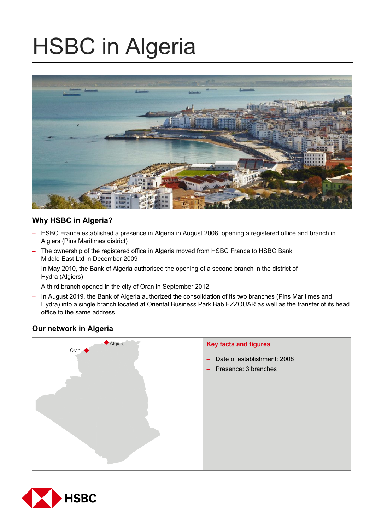# HSBC in Algeria



# **Why HSBC in Algeria?**

- HSBC France established a presence in Algeria in August 2008, opening a registered office and branch in Algiers (Pins Maritimes district)
- The ownership of the registered office in Algeria moved from HSBC France to HSBC Bank Middle East Ltd in December 2009
- In May 2010, the Bank of Algeria authorised the opening of a second branch in the district of Hydra (Algiers)
- A third branch opened in the city of Oran in September 2012
- In August 2019, the Bank of Algeria authorized the consolidation of its two branches (Pins Maritimes and Hydra) into a single branch located at Oriental Business Park Bab EZZOUAR as well as the transfer of its head office to the same address

# **Our network in Algeria**